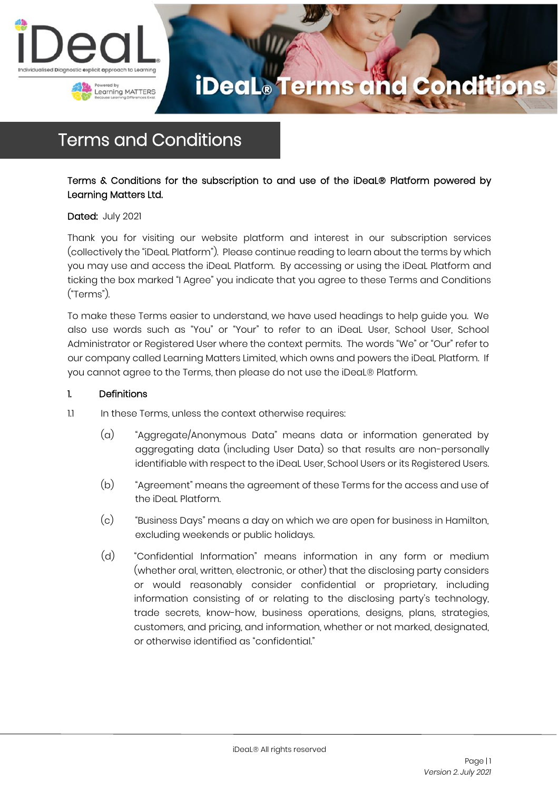



### Terms and Conditions

### Terms & Conditions for the subscription to and use of the iDeaL® Platform powered by Learning Matters Ltd.

### Dated: July 2021

Thank you for visiting our website platform and interest in our subscription services (collectively the "iDeaL Platform"). Please continue reading to learn about the terms by which you may use and access the iDeaL Platform. By accessing or using the iDeaL Platform and ticking the box marked "I Agree" you indicate that you agree to these Terms and Conditions ("Terms").

To make these Terms easier to understand, we have used headings to help guide you. We also use words such as "You" or "Your" to refer to an iDeaL User, School User, School Administrator or Registered User where the context permits. The words "We" or "Our" refer to our company called Learning Matters Limited, which owns and powers the iDeaL Platform. If you cannot agree to the Terms, then please do not use the iDeaL® Platform.

#### 1. Definitions

- 1.1 In these Terms, unless the context otherwise requires:
	- (a) "Aggregate/Anonymous Data" means data or information generated by aggregating data (including User Data) so that results are non-personally identifiable with respect to the iDeaL User, School Users or its Registered Users.
	- (b) "Agreement" means the agreement of these Terms for the access and use of the iDeaL Platform.
	- (c) "Business Days" means a day on which we are open for business in Hamilton, excluding weekends or public holidays.
	- (d) "Confidential Information" means information in any form or medium (whether oral, written, electronic, or other) that the disclosing party considers or would reasonably consider confidential or proprietary, including information consisting of or relating to the disclosing party's technology, trade secrets, know-how, business operations, designs, plans, strategies, customers, and pricing, and information, whether or not marked, designated, or otherwise identified as "confidential."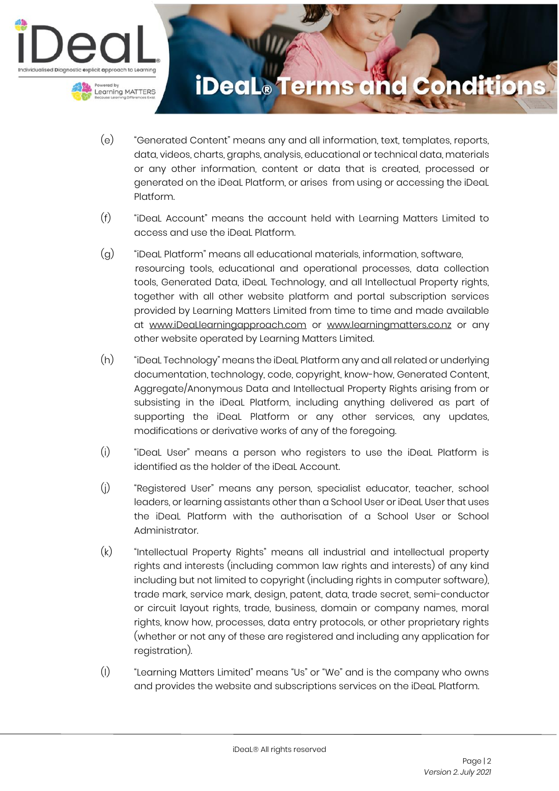

- (e) "Generated Content" means any and all information, text, templates, reports, data, videos, charts, graphs, analysis, educational or technical data, materials or any other information, content or data that is created, processed or generated on the iDeaL Platform, or arises from using or accessing the iDeaL Platform.
- (f) "iDeaL Account" means the account held with Learning Matters Limited to access and use the iDeaL Platform.
- (g) "iDeaL Platform" means all educational materials, information, software, resourcing tools, educational and operational processes, data collection tools, Generated Data, iDeaL Technology, and all Intellectual Property rights, together with all other website platform and portal subscription services provided by Learning Matters Limited from time to time and made available at www.iDeaLlearningapproach.com or www.learningmatters.co.nz or any other website operated by Learning Matters Limited.
- (h) "iDeaL Technology" means the iDeaL Platform any and all related or underlying documentation, technology, code, copyright, know-how, Generated Content, Aggregate/Anonymous Data and Intellectual Property Rights arising from or subsisting in the iDeaL Platform, including anything delivered as part of supporting the iDeaL Platform or any other services, any updates, modifications or derivative works of any of the foregoing.
- (i) "iDeaL User" means a person who registers to use the iDeaL Platform is identified as the holder of the iDeaL Account.
- (j) "Registered User" means any person, specialist educator, teacher, school leaders, or learning assistants other than a School User or iDeaL User that uses the iDeaL Platform with the authorisation of a School User or School Administrator.
- (k) "Intellectual Property Rights" means all industrial and intellectual property rights and interests (including common law rights and interests) of any kind including but not limited to copyright (including rights in computer software), trade mark, service mark, design, patent, data, trade secret, semi-conductor or circuit layout rights, trade, business, domain or company names, moral rights, know how, processes, data entry protocols, or other proprietary rights (whether or not any of these are registered and including any application for registration).
- (l) "Learning Matters Limited" means "Us" or "We" and is the company who owns and provides the website and subscriptions services on the iDeaL Platform.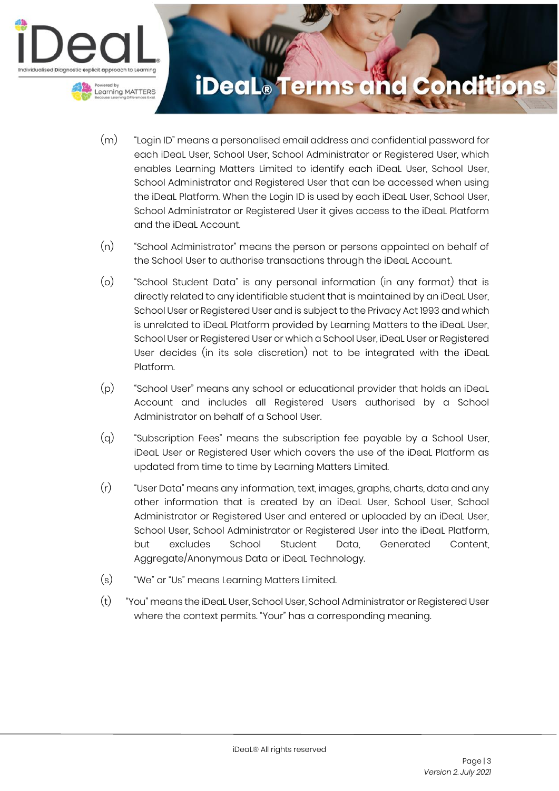

- (m) "Login ID" means a personalised email address and confidential password for each iDeaL User, School User, School Administrator or Registered User, which enables Learning Matters Limited to identify each iDeaL User, School User, School Administrator and Registered User that can be accessed when using the iDeaL Platform. When the Login ID is used by each iDeaL User, School User, School Administrator or Registered User it gives access to the iDeaL Platform and the iDeaL Account.
- (n) "School Administrator" means the person or persons appointed on behalf of the School User to authorise transactions through the iDeaL Account.
- (o) "School Student Data" is any personal information (in any format) that is directly related to any identifiable student that is maintained by an iDeaL User, School User or Registered User and is subject to the Privacy Act 1993 and which is unrelated to iDeaL Platform provided by Learning Matters to the iDeaL User, School User or Registered User or which a School User, iDeaL User or Registered User decides (in its sole discretion) not to be integrated with the iDeaL Platform.
- (p) "School User" means any school or educational provider that holds an iDeaL Account and includes all Registered Users authorised by a School Administrator on behalf of a School User.
- (q) "Subscription Fees" means the subscription fee payable by a School User, iDeaL User or Registered User which covers the use of the iDeaL Platform as updated from time to time by Learning Matters Limited.
- (r) "User Data" means any information, text, images, graphs, charts, data and any other information that is created by an iDeaL User, School User, School Administrator or Registered User and entered or uploaded by an iDeaL User, School User, School Administrator or Registered User into the iDeaL Platform, but excludes School Student Data, Generated Content, Aggregate/Anonymous Data or iDeaL Technology.
- (s) "We" or "Us" means Learning Matters Limited.
- (t) "You" means the iDeaL User, School User, School Administrator or Registered User where the context permits. "Your" has a corresponding meaning.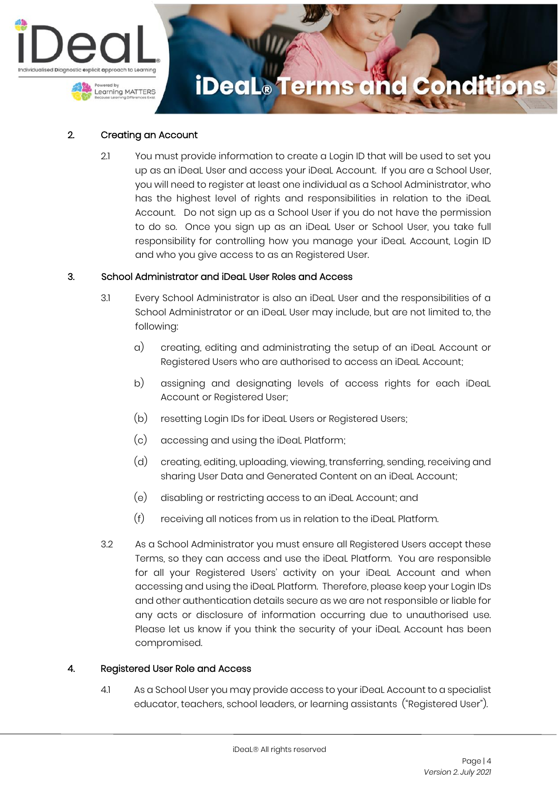

### 2. Creating an Account

2.1 You must provide information to create a Login ID that will be used to set you up as an iDeaL User and access your iDeaL Account. If you are a School User, you will need to register at least one individual as a School Administrator, who has the highest level of rights and responsibilities in relation to the iDeaL Account. Do not sign up as a School User if you do not have the permission to do so. Once you sign up as an iDeaL User or School User, you take full responsibility for controlling how you manage your iDeaL Account, Login ID and who you give access to as an Registered User.

#### 3. School Administrator and iDeaL User Roles and Access

- 3.1 Every School Administrator is also an iDeaL User and the responsibilities of a School Administrator or an iDeaL User may include, but are not limited to, the following:
	- a) creating, editing and administrating the setup of an iDeaL Account or Registered Users who are authorised to access an iDeaL Account;
	- b) assigning and designating levels of access rights for each iDeaL Account or Registered User;
	- (b) resetting Login IDs for iDeaL Users or Registered Users;
	- (c) accessing and using the iDeaL Platform;
	- (d) creating, editing, uploading, viewing, transferring, sending, receiving and sharing User Data and Generated Content on an iDeaL Account;
	- (e) disabling or restricting access to an iDeaL Account; and
	- (f) receiving all notices from us in relation to the iDeaL Platform.
- 3.2 As a School Administrator you must ensure all Registered Users accept these Terms, so they can access and use the iDeaL Platform. You are responsible for all your Registered Users' activity on your iDeaL Account and when accessing and using the iDeaL Platform. Therefore, please keep your Login IDs and other authentication details secure as we are not responsible or liable for any acts or disclosure of information occurring due to unauthorised use. Please let us know if you think the security of your iDeaL Account has been compromised.

### 4. Registered User Role and Access

4.1 As a School User you may provide access to your iDeaL Account to a specialist educator, teachers, school leaders, or learning assistants ("Registered User").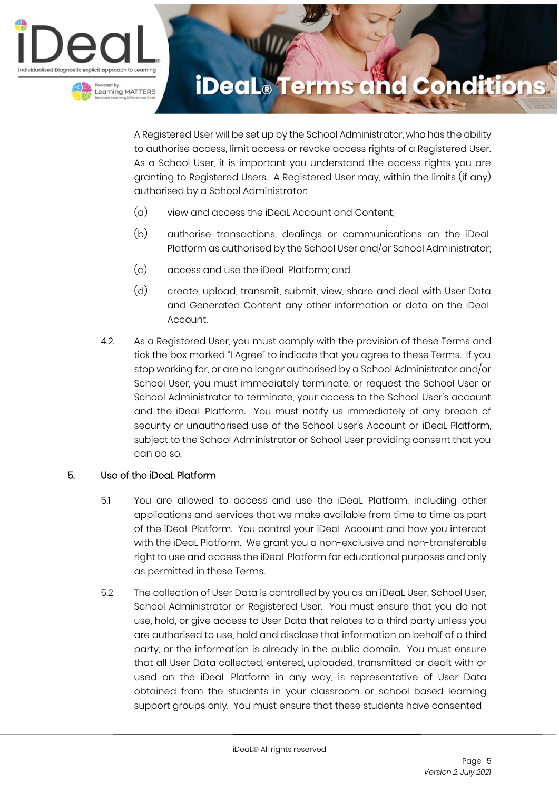



A Registered User will be set up by the School Administrator, who has the ability to authorise access, limit access or revoke access rights of a Registered User. As a School User, it is important you understand the access rights you are granting to Registered Users. A Registered User may, within the limits (if any) authorised by a School Administrator:

- (a) view and access the iDeaL Account and Content;
- (b) authorise transactions, dealings or communications on the iDeaL Platform as authorised by the School User and/or School Administrator;
- (c) access and use the iDeaL Platform; and
- (d) create, upload, transmit, submit, view, share and deal with User Data and Generated Content any other information or data on the iDeaL Account.
- 4.2. As a Registered User, you must comply with the provision of these Terms and tick the box marked "I Agree" to indicate that you agree to these Terms. If you stop working for, or are no longer authorised by a School Administrator and/or School User, you must immediately terminate, or request the School User or School Administrator to terminate, your access to the School User's account and the iDeaL Platform. You must notify us immediately of any breach of security or unauthorised use of the School User's Account or iDeaL Platform, subject to the School Administrator or School User providing consent that you can do so.

### 5. Use of the iDeaL Platform

- 5.1 You are allowed to access and use the iDeaL Platform, including other applications and services that we make available from time to time as part of the iDeaL Platform. You control your iDeaL Account and how you interact with the iDeaL Platform. We grant you a non-exclusive and non-transferable right to use and access the iDeaL Platform for educational purposes and only as permitted in these Terms.
- 5.2 The collection of User Data is controlled by you as an iDeaL User, School User, School Administrator or Registered User. You must ensure that you do not use, hold, or give access to User Data that relates to a third party unless you are authorised to use, hold and disclose that information on behalf of a third party, or the information is already in the public domain. You must ensure that all User Data collected, entered, uploaded, transmitted or dealt with or used on the iDeaL Platform in any way, is representative of User Data obtained from the students in your classroom or school based learning support groups only. You must ensure that these students have consented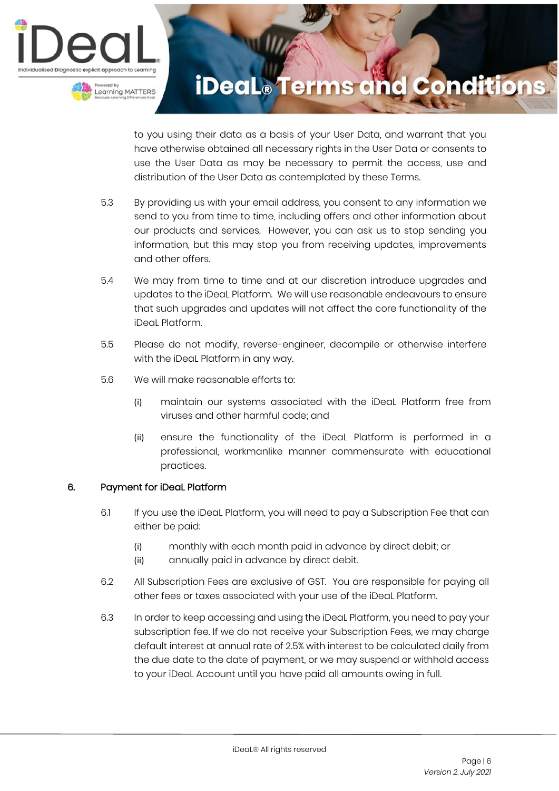

to you using their data as a basis of your User Data, and warrant that you have otherwise obtained all necessary rights in the User Data or consents to use the User Data as may be necessary to permit the access, use and distribution of the User Data as contemplated by these Terms.

- 5.3 By providing us with your email address, you consent to any information we send to you from time to time, including offers and other information about our products and services. However, you can ask us to stop sending you information, but this may stop you from receiving updates, improvements and other offers.
- 5.4 We may from time to time and at our discretion introduce upgrades and updates to the iDeaL Platform. We will use reasonable endeavours to ensure that such upgrades and updates will not affect the core functionality of the iDeaL Platform.
- 5.5 Please do not modify, reverse-engineer, decompile or otherwise interfere with the iDeaL Platform in any way.
- 5.6 We will make reasonable efforts to:
	- (i) maintain our systems associated with the iDeaL Platform free from viruses and other harmful code; and
	- (ii) ensure the functionality of the iDeaL Platform is performed in a professional, workmanlike manner commensurate with educational practices.

### 6. Payment for iDeaL Platform

- 6.1 If you use the iDeaL Platform, you will need to pay a Subscription Fee that can either be paid:
	- (i) monthly with each month paid in advance by direct debit; or
	- (ii) annually paid in advance by direct debit.
- 6.2 All Subscription Fees are exclusive of GST. You are responsible for paying all other fees or taxes associated with your use of the iDeaL Platform.
- 6.3 In order to keep accessing and using the iDeaL Platform, you need to pay your subscription fee. If we do not receive your Subscription Fees, we may charge default interest at annual rate of 2.5% with interest to be calculated daily from the due date to the date of payment, or we may suspend or withhold access to your iDeaL Account until you have paid all amounts owing in full.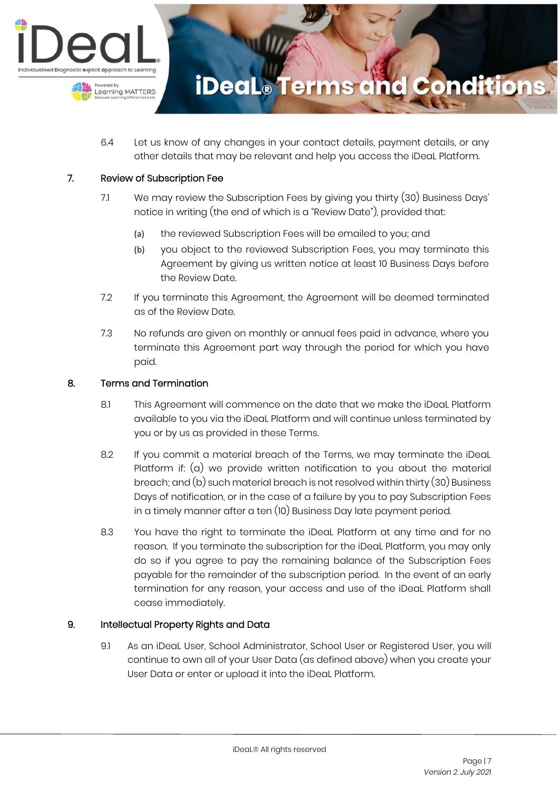

6.4 Let us know of any changes in your contact details, payment details, or any other details that may be relevant and help you access the iDeaL Platform.

#### 7. Review of Subscription Fee

- 7.1 We may review the Subscription Fees by giving you thirty (30) Business Days' notice in writing (the end of which is a "Review Date"), provided that:
	- (a) the reviewed Subscription Fees will be emailed to you; and
	- (b) you object to the reviewed Subscription Fees, you may terminate this Agreement by giving us written notice at least 10 Business Days before the Review Date.
- 7.2 If you terminate this Agreement, the Agreement will be deemed terminated as of the Review Date.
- 7.3 No refunds are given on monthly or annual fees paid in advance, where you terminate this Agreement part way through the period for which you have paid.

#### 8. Terms and Termination

- 8.1 This Agreement will commence on the date that we make the iDeaL Platform available to you via the iDeaL Platform and will continue unless terminated by you or by us as provided in these Terms.
- 8.2 If you commit a material breach of the Terms, we may terminate the iDeaL Platform if: (a) we provide written notification to you about the material breach; and (b) such material breach is not resolved within thirty (30) Business Days of notification, or in the case of a failure by you to pay Subscription Fees in a timely manner after a ten (10) Business Day late payment period.
- 8.3 You have the right to terminate the iDeaL Platform at any time and for no reason. If you terminate the subscription for the iDeaL Platform, you may only do so if you agree to pay the remaining balance of the Subscription Fees payable for the remainder of the subscription period. In the event of an early termination for any reason, your access and use of the iDeaL Platform shall cease immediately.

### 9. Intellectual Property Rights and Data

9.1 As an iDeaL User, School Administrator, School User or Registered User, you will continue to own all of your User Data (as defined above) when you create your User Data or enter or upload it into the iDeaL Platform.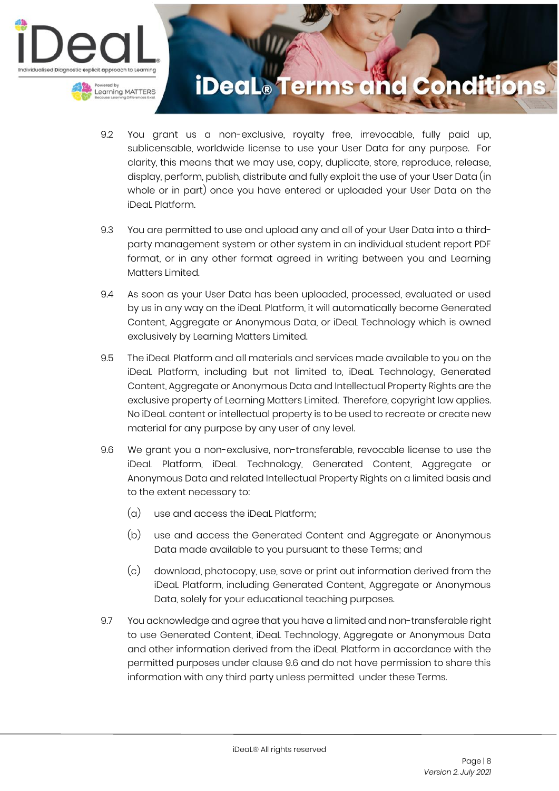

- 9.2 You grant us a non-exclusive, royalty free, irrevocable, fully paid up, sublicensable, worldwide license to use your User Data for any purpose. For clarity, this means that we may use, copy, duplicate, store, reproduce, release, display, perform, publish, distribute and fully exploit the use of your User Data (in whole or in part) once you have entered or uploaded your User Data on the iDeaL Platform.
- 9.3 You are permitted to use and upload any and all of your User Data into a thirdparty management system or other system in an individual student report PDF format, or in any other format agreed in writing between you and Learning Matters Limited.
- 9.4 As soon as your User Data has been uploaded, processed, evaluated or used by us in any way on the iDeaL Platform, it will automatically become Generated Content, Aggregate or Anonymous Data, or iDeaL Technology which is owned exclusively by Learning Matters Limited.
- 9.5 The iDeaL Platform and all materials and services made available to you on the iDeaL Platform, including but not limited to, iDeaL Technology, Generated Content, Aggregate or Anonymous Data and Intellectual Property Rights are the exclusive property of Learning Matters Limited. Therefore, copyright law applies. No iDeaL content or intellectual property is to be used to recreate or create new material for any purpose by any user of any level.
- 9.6 We grant you a non-exclusive, non-transferable, revocable license to use the iDeaL Platform, iDeaL Technology, Generated Content, Aggregate or Anonymous Data and related Intellectual Property Rights on a limited basis and to the extent necessary to:
	- (a) use and access the iDeaL Platform;
	- (b) use and access the Generated Content and Aggregate or Anonymous Data made available to you pursuant to these Terms; and
	- (c) download, photocopy, use, save or print out information derived from the iDeaL Platform, including Generated Content, Aggregate or Anonymous Data, solely for your educational teaching purposes.
- 9.7 You acknowledge and agree that you have a limited and non-transferable right to use Generated Content, iDeaL Technology, Aggregate or Anonymous Data and other information derived from the iDeaL Platform in accordance with the permitted purposes under clause 9.6 and do not have permission to share this information with any third party unless permitted under these Terms.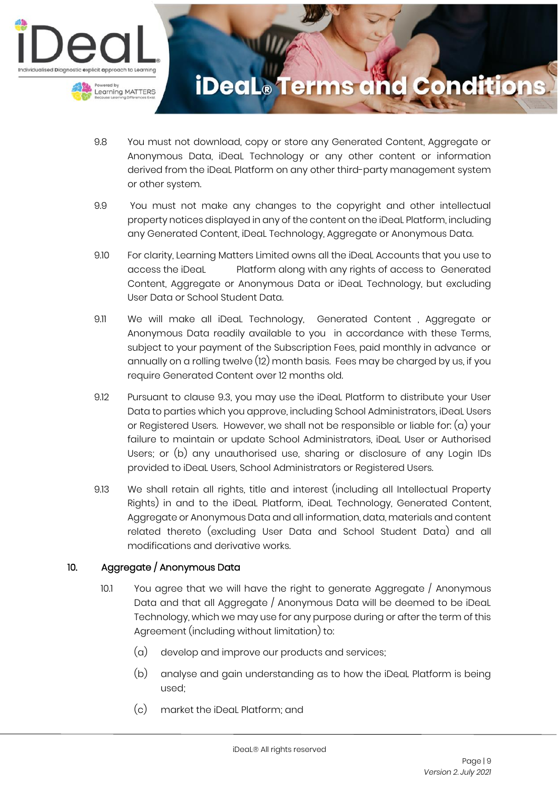

- 9.8 You must not download, copy or store any Generated Content, Aggregate or Anonymous Data, iDeaL Technology or any other content or information derived from the iDeaL Platform on any other third-party management system or other system.
- 9.9 You must not make any changes to the copyright and other intellectual property notices displayed in any of the content on the iDeaL Platform, including any Generated Content, iDeaL Technology, Aggregate or Anonymous Data.
- 9.10 For clarity, Learning Matters Limited owns all the iDeaL Accounts that you use to access the iDeaL Platform along with any rights of access to Generated Content, Aggregate or Anonymous Data or iDeaL Technology, but excluding User Data or School Student Data.
- 9.11 We will make all iDeaL Technology, Generated Content , Aggregate or Anonymous Data readily available to you in accordance with these Terms, subject to your payment of the Subscription Fees, paid monthly in advance or annually on a rolling twelve (12) month basis. Fees may be charged by us, if you require Generated Content over 12 months old.
- 9.12 Pursuant to clause 9.3, you may use the iDeaL Platform to distribute your User Data to parties which you approve, including School Administrators, iDeaL Users or Registered Users. However, we shall not be responsible or liable for: (a) your failure to maintain or update School Administrators, iDeaL User or Authorised Users; or (b) any unauthorised use, sharing or disclosure of any Login IDs provided to iDeaL Users, School Administrators or Registered Users.
- 9.13 We shall retain all rights, title and interest (including all Intellectual Property Rights) in and to the iDeaL Platform, iDeaL Technology, Generated Content, Aggregate or Anonymous Data and all information, data, materials and content related thereto (excluding User Data and School Student Data) and all modifications and derivative works.

### 10. Aggregate / Anonymous Data

- 10.1 You agree that we will have the right to generate Aggregate / Anonymous Data and that all Aggregate / Anonymous Data will be deemed to be iDeaL Technology, which we may use for any purpose during or after the term of this Agreement (including without limitation) to:
	- (a) develop and improve our products and services;
	- (b) analyse and gain understanding as to how the iDeaL Platform is being used;
	- (c) market the iDeaL Platform; and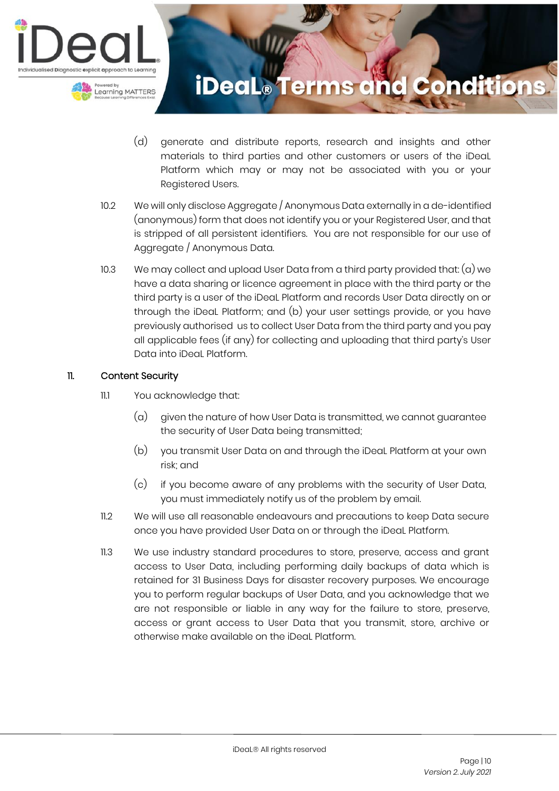

- (d) generate and distribute reports, research and insights and other materials to third parties and other customers or users of the iDeaL Platform which may or may not be associated with you or your Registered Users.
- 10.2 We will only disclose Aggregate / Anonymous Data externally in a de-identified (anonymous) form that does not identify you or your Registered User, and that is stripped of all persistent identifiers. You are not responsible for our use of Aggregate / Anonymous Data.
- 10.3 We may collect and upload User Data from a third party provided that:  $(a)$  we have a data sharing or licence agreement in place with the third party or the third party is a user of the iDeaL Platform and records User Data directly on or through the iDeaL Platform; and (b) your user settings provide, or you have previously authorised us to collect User Data from the third party and you pay all applicable fees (if any) for collecting and uploading that third party's User Data into iDeaL Platform.

### 11. Content Security

- 11.1 You acknowledge that:
	- $\alpha$  given the nature of how User Data is transmitted, we cannot quarantee the security of User Data being transmitted;
	- (b) you transmit User Data on and through the iDeaL Platform at your own risk; and
	- (c) if you become aware of any problems with the security of User Data, you must immediately notify us of the problem by email.
- 11.2 We will use all reasonable endeavours and precautions to keep Data secure once you have provided User Data on or through the iDeaL Platform.
- 11.3 We use industry standard procedures to store, preserve, access and grant access to User Data, including performing daily backups of data which is retained for 31 Business Days for disaster recovery purposes. We encourage you to perform regular backups of User Data, and you acknowledge that we are not responsible or liable in any way for the failure to store, preserve, access or grant access to User Data that you transmit, store, archive or otherwise make available on the iDeaL Platform.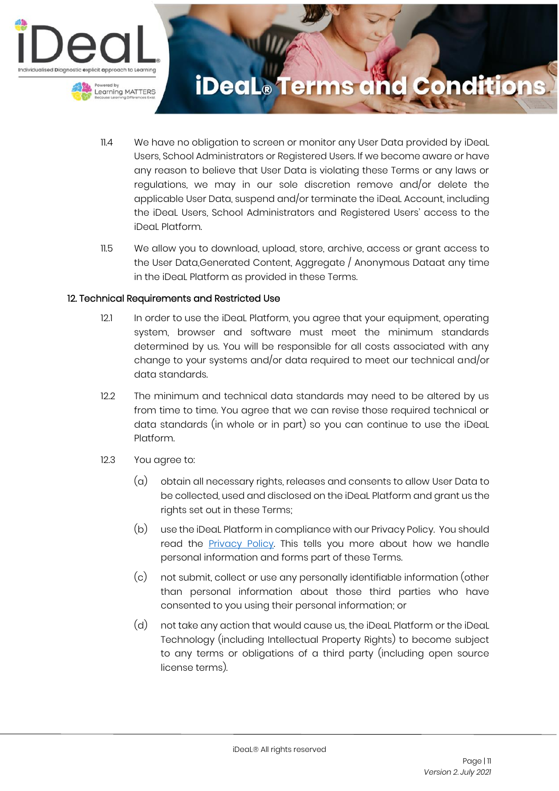

- 11.4 We have no obligation to screen or monitor any User Data provided by iDeaL Users, School Administrators or Registered Users. If we become aware or have any reason to believe that User Data is violating these Terms or any laws or regulations, we may in our sole discretion remove and/or delete the applicable User Data, suspend and/or terminate the iDeaL Account, including the iDeaL Users, School Administrators and Registered Users' access to the iDeaL Platform.
- 11.5 We allow you to download, upload, store, archive, access or grant access to the User Data,Generated Content, Aggregate / Anonymous Dataat any time in the iDeaL Platform as provided in these Terms.

#### 12. Technical Requirements and Restricted Use

- 12.1 In order to use the iDeal Platform, you agree that your equipment, operating system, browser and software must meet the minimum standards determined by us. You will be responsible for all costs associated with any change to your systems and/or data required to meet our technical and/or data standards.
- 12.2 The minimum and technical data standards may need to be altered by us from time to time. You agree that we can revise those required technical or data standards (in whole or in part) so you can continue to use the iDeaL Platform.
- 12.3 You agree to:
	- (a) obtain all necessary rights, releases and consents to allow User Data to be collected, used and disclosed on the iDeaL Platform and grant us the rights set out in these Terms;
	- (b) use the iDeaL Platform in compliance with our Privacy Policy. You should read the **Privacy Policy**. This tells you more about how we handle personal information and forms part of these Terms.
	- (c) not submit, collect or use any personally identifiable information (other than personal information about those third parties who have consented to you using their personal information; or
	- (d) not take any action that would cause us, the iDeaL Platform or the iDeaL Technology (including Intellectual Property Rights) to become subject to any terms or obligations of a third party (including open source license terms).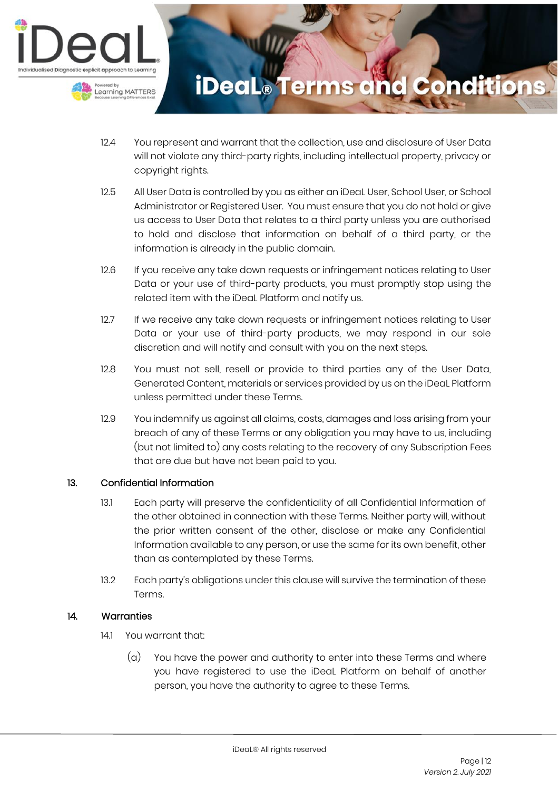

- 12.4 You represent and warrant that the collection, use and disclosure of User Data will not violate any third-party rights, including intellectual property, privacy or copyright rights.
- 12.5 All User Data is controlled by you as either an iDeaL User, School User, or School Administrator or Registered User. You must ensure that you do not hold or give us access to User Data that relates to a third party unless you are authorised to hold and disclose that information on behalf of a third party, or the information is already in the public domain.
- 12.6 If you receive any take down requests or infringement notices relating to User Data or your use of third-party products, you must promptly stop using the related item with the iDeaL Platform and notify us.
- 12.7 If we receive any take down requests or infringement notices relating to User Data or your use of third-party products, we may respond in our sole discretion and will notify and consult with you on the next steps.
- 12.8 You must not sell, resell or provide to third parties any of the User Data, Generated Content, materials or services provided by us on the iDeaL Platform unless permitted under these Terms.
- 12.9 You indemnify us against all claims, costs, damages and loss arising from your breach of any of these Terms or any obligation you may have to us, including (but not limited to) any costs relating to the recovery of any Subscription Fees that are due but have not been paid to you.

### 13. Confidential Information

- 13.1 Each party will preserve the confidentiality of all Confidential Information of the other obtained in connection with these Terms. Neither party will, without the prior written consent of the other, disclose or make any Confidential Information available to any person, or use the same for its own benefit, other than as contemplated by these Terms.
- 13.2 Each party's obligations under this clause will survive the termination of these Terms.

### 14. Warranties

- 14.1 You warrant that:
	- (a) You have the power and authority to enter into these Terms and where you have registered to use the iDeaL Platform on behalf of another person, you have the authority to agree to these Terms.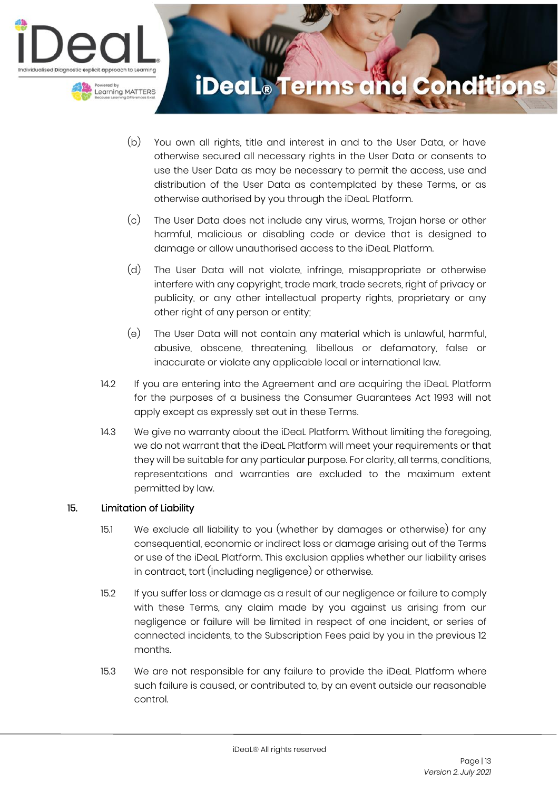

- (b) You own all rights, title and interest in and to the User Data, or have otherwise secured all necessary rights in the User Data or consents to use the User Data as may be necessary to permit the access, use and distribution of the User Data as contemplated by these Terms, or as otherwise authorised by you through the iDeaL Platform.
- (c) The User Data does not include any virus, worms, Trojan horse or other harmful, malicious or disabling code or device that is designed to damage or allow unauthorised access to the iDeaL Platform.
- (d) The User Data will not violate, infringe, misappropriate or otherwise interfere with any copyright, trade mark, trade secrets, right of privacy or publicity, or any other intellectual property rights, proprietary or any other right of any person or entity;
- (e) The User Data will not contain any material which is unlawful, harmful, abusive, obscene, threatening, libellous or defamatory, false or inaccurate or violate any applicable local or international law.
- 14.2 If you are entering into the Agreement and are acquiring the iDeaL Platform for the purposes of a business the Consumer Guarantees Act 1993 will not apply except as expressly set out in these Terms.
- 14.3 We give no warranty about the iDeaL Platform. Without limiting the foregoing, we do not warrant that the iDeaL Platform will meet your requirements or that they will be suitable for any particular purpose. For clarity, all terms, conditions, representations and warranties are excluded to the maximum extent permitted by law.

### 15. Limitation of Liability

- 15.1 We exclude all liability to you (whether by damages or otherwise) for any consequential, economic or indirect loss or damage arising out of the Terms or use of the iDeaL Platform. This exclusion applies whether our liability arises in contract, tort (including negligence) or otherwise.
- 15.2 If you suffer loss or damage as a result of our negligence or failure to comply with these Terms, any claim made by you against us arising from our negligence or failure will be limited in respect of one incident, or series of connected incidents, to the Subscription Fees paid by you in the previous 12 months.
- 15.3 We are not responsible for any failure to provide the iDeaL Platform where such failure is caused, or contributed to, by an event outside our reasonable control.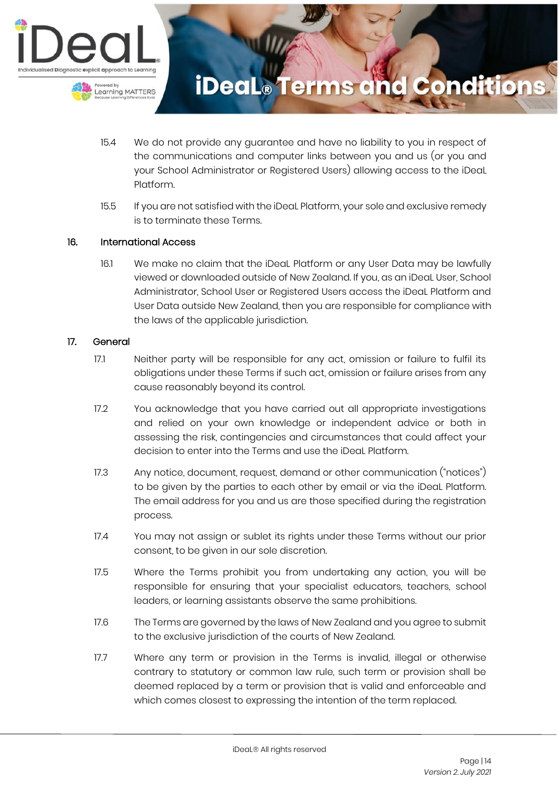

- 15.4 We do not provide any guarantee and have no liability to you in respect of the communications and computer links between you and us (or you and your School Administrator or Registered Users) allowing access to the iDeaL Platform.
- 15.5 If you are not satisfied with the iDeaL Platform, your sole and exclusive remedy is to terminate these Terms.

### 16. International Access

16.1 We make no claim that the iDeaL Platform or any User Data may be lawfully viewed or downloaded outside of New Zealand. If you, as an iDeaL User, School Administrator, School User or Registered Users access the iDeaL Platform and User Data outside New Zealand, then you are responsible for compliance with the laws of the applicable jurisdiction.

#### 17. General

- 17.1 Neither party will be responsible for any act, omission or failure to fulfil its obligations under these Terms if such act, omission or failure arises from any cause reasonably beyond its control.
- 17.2 You acknowledge that you have carried out all appropriate investigations and relied on your own knowledge or independent advice or both in assessing the risk, contingencies and circumstances that could affect your decision to enter into the Terms and use the iDeaL Platform.
- 17.3 Any notice, document, request, demand or other communication ("notices") to be given by the parties to each other by email or via the iDeaL Platform. The email address for you and us are those specified during the registration process.
- 17.4 You may not assign or sublet its rights under these Terms without our prior consent, to be given in our sole discretion.
- 17.5 Where the Terms prohibit you from undertaking any action, you will be responsible for ensuring that your specialist educators, teachers, school leaders, or learning assistants observe the same prohibitions.
- 17.6 The Terms are governed by the laws of New Zealand and you agree to submit to the exclusive jurisdiction of the courts of New Zealand.
- 17.7 Where any term or provision in the Terms is invalid, illegal or otherwise contrary to statutory or common law rule, such term or provision shall be deemed replaced by a term or provision that is valid and enforceable and which comes closest to expressing the intention of the term replaced.